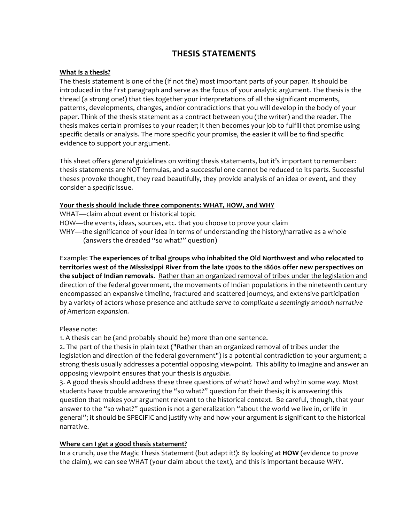# **THESIS&STATEMENTS**

## **What is a thesis?**

The thesis statement is one of the (if not the) most important parts of your paper. It should be introduced in the first paragraph and serve as the focus of your analytic argument. The thesis is the thread (a strong one!) that ties together your interpretations of all the significant moments, patterns, developments, changes, and/or contradictions that you will develop in the body of your paper. Think of the thesis statement as a contract between you (the writer) and the reader. The thesis makes certain promises to your reader; it then becomes your job to fulfill that promise using specific details or analysis. The more specific your promise, the easier it will be to find specific evidence to support your argument.

This sheet offers *general* guidelines on writing thesis statements, but it's important to remember: thesis statements are NOT formulas, and a successful one cannot be reduced to its parts. Successful theses provoke thought, they read beautifully, they provide analysis of an idea or event, and they consider a *specific* issue.

#### Your thesis should include three components: WHAT, HOW, and WHY

WHAT-claim about event or historical topic

HOW—the events, ideas, sources, etc. that you choose to prove your claim

WHY—the significance of your idea in terms of understanding the history/narrative as a whole (answers the dreaded "so what?" question)

Example: The experiences of tribal groups who inhabited the Old Northwest and who relocated to territories west of the Mississippi River from the late 1700s to the 1860s offer new perspectives on **the subject of Indian removals.** Rather than an organized removal of tribes under the legislation and direction of the federal government, the movements of Indian populations in the nineteenth century encompassed an expansive timeline, fractured and scattered journeys, and extensive participation by a variety of actors whose presence and attitude serve to complicate a seemingly smooth narrative *of)American)expansion.*

# Please note:

1. A thesis can be (and probably should be) more than one sentence.

2. The part of the thesis in plain text ("Rather than an organized removal of tribes under the legislation and direction of the federal government") is a potential contradiction to your argument; a strong thesis usually addresses a potential opposing viewpoint. This ability to imagine and answer an opposing viewpoint ensures that your thesis is *arguable*.

3. A good thesis should address these three questions of what? how? and why? in some way. Most students have trouble answering the "so what?" question for their thesis; it is answering this question that makes your argument relevant to the historical context. Be careful, though, that your answer to the "so what?" question is not a generalization "about the world we live in, or life in general"; it should be SPECIFIC and justify why and how your argument is significant to the historical narrative.

# **Where can I get a good thesis statement?**

In a crunch, use the Magic Thesis Statement (but adapt it!): By looking at HOW (evidence to prove the claim), we can see WHAT (your claim about the text), and this is important because WHY.